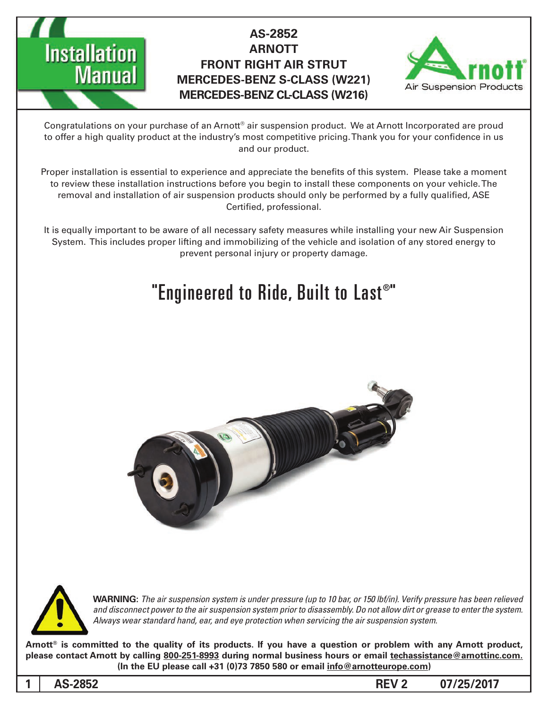

## **AS-2852 ARNOTT FRONT RIGHT AIR STRUT MERCEDES-BENZ S-CLASS (W221) MERCEDES-BENZ CL-CLASS (W216)**



Congratulations on your purchase of an Arnott® air suspension product. We at Arnott Incorporated are proud to offer a high quality product at the industry's most competitive pricing. Thank you for your confidence in us and our product.

Proper installation is essential to experience and appreciate the benefits of this system. Please take a moment to review these installation instructions before you begin to install these components on your vehicle. The removal and installation of air suspension products should only be performed by a fully qualified, ASE Certified, professional.

It is equally important to be aware of all necessary safety measures while installing your new Air Suspension System. This includes proper lifting and immobilizing of the vehicle and isolation of any stored energy to prevent personal injury or property damage.

# "Engineered to Ride, Built to Last®"





*WARNING: The air suspension system is under pressure (up to 10 bar, or 150 lbf/in). Verify pressure has been relieved* and disconnect power to the air suspension system prior to disassembly. Do not allow dirt or grease to enter the system. Always wear standard hand, ear, and eye protection when servicing the air suspension system.

Arnott<sup>®</sup> is committed to the quality of its products. If you have a question or problem with any Arnott product, please contact Arnott by calling 800-251-8993 during normal business hours or email techassistance@arnottinc.com. (In the EU please call +31 (0)73 7850 580 or email info@arnotteurope.com)

**1**

**185-2852 185-2852 185-2852 185-2852 185-2852 185-2852 185-2852 185-2852**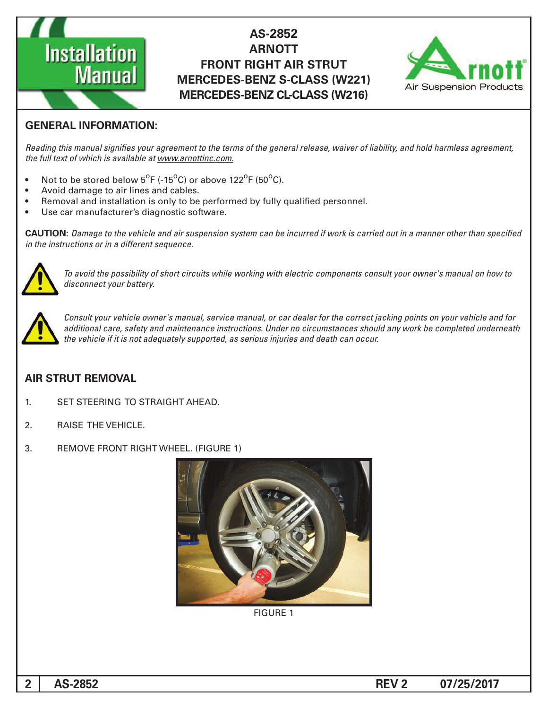

### **AS-2852 ARNOTT FRONT RIGHT AIR STRUT MERCEDES-BENZ S-CLASS (W221) MERCEDES-BENZ CL-CLASS (W216)**



#### **GENERAL INFORMATION:**

Reading this manual signifies your agreement to the terms of the general release, waiver of liability, and hold harmless agreement, the full text of which is available at www.arnottinc.com.

- Not to be stored below  $5^{\circ}$ F (-15 $^{\circ}$ C) or above 122 $^{\circ}$ F (50 $^{\circ}$ C).
- Avoid damage to air lines and cables.
- Removal and installation is only to be performed by fully qualified personnel.
- Use car manufacturer's diagnostic software.

**CAUTION:** Damage to the vehicle and air suspension system can be incurred if work is carried out in a manner other than specified *in the instructions or in a different sequence.* 



 *to how on manual s'owner your consult components electric with working while circuits short of possibility the avoid To* disconnect your battery.



*Consult your vehicle owner's manual, service manual, or car dealer for the correct jacking points on your vehicle and for* additional care, safety and maintenance instructions. Under no circumstances should any work be completed underneath the vehicle if it is not adequately supported, as serious injuries and death can occur.

#### **AIR STRUT REMOVAL**

- 1. SET STEERING TO STRAIGHT AHEAD.
- 2. RAISE THE VEHICLE.
- 3. REMOVE FRONT RIGHT WHEEL. (FIGURE 1)



**FIGURE 1** 

**185-2852 185-2852 185-2852 185-2852 185-2852 185-2852 185-2852 185-2852**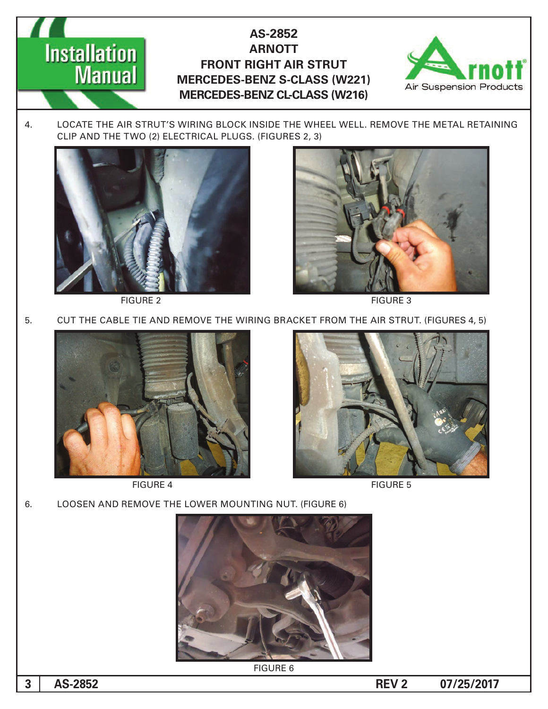**AS-2852 ARNOTT FRONT RIGHT AIR STRUT MERCEDES-BENZ S-CLASS (W221) MERCEDES-BENZ CL-CLASS (W216)** 



4. LOCATE THE AIR STRUT'S WIRING BLOCK INSIDE THE WHEEL WELL. REMOVE THE METAL RETAINING CLIP AND THE TWO (2) ELECTRICAL PLUGS. (FIGURES 2, 3)



**Installation** 

**Manual** 

FIGURE 2 FIGURE 3



5. CUT THE CABLE TIE AND REMOVE THE WIRING BRACKET FROM THE AIR STRUT. (FIGURES 4, 5)



FIGURE 4 FIGURE 5



6. LOOSEN AND REMOVE THE LOWER MOUNTING NUT. (FIGURE 6)



**FIGURE 6** 

**185-2852 185-2852 185-2852 185-2852 185-2852 185-2852 185-2852 185-2852**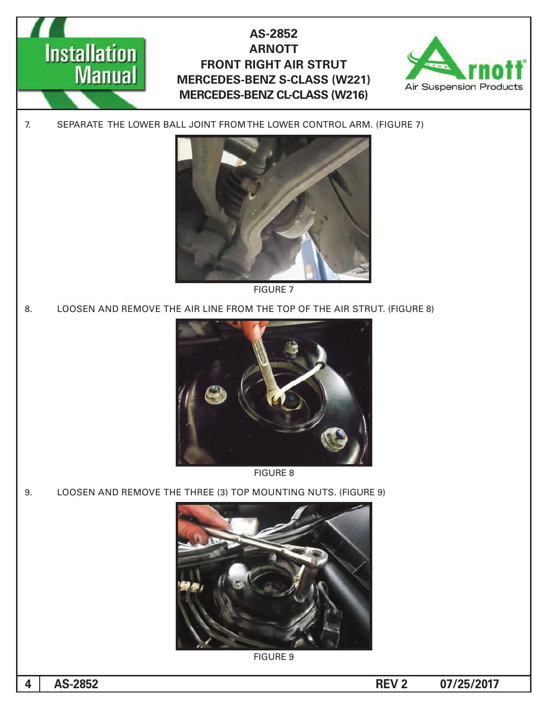